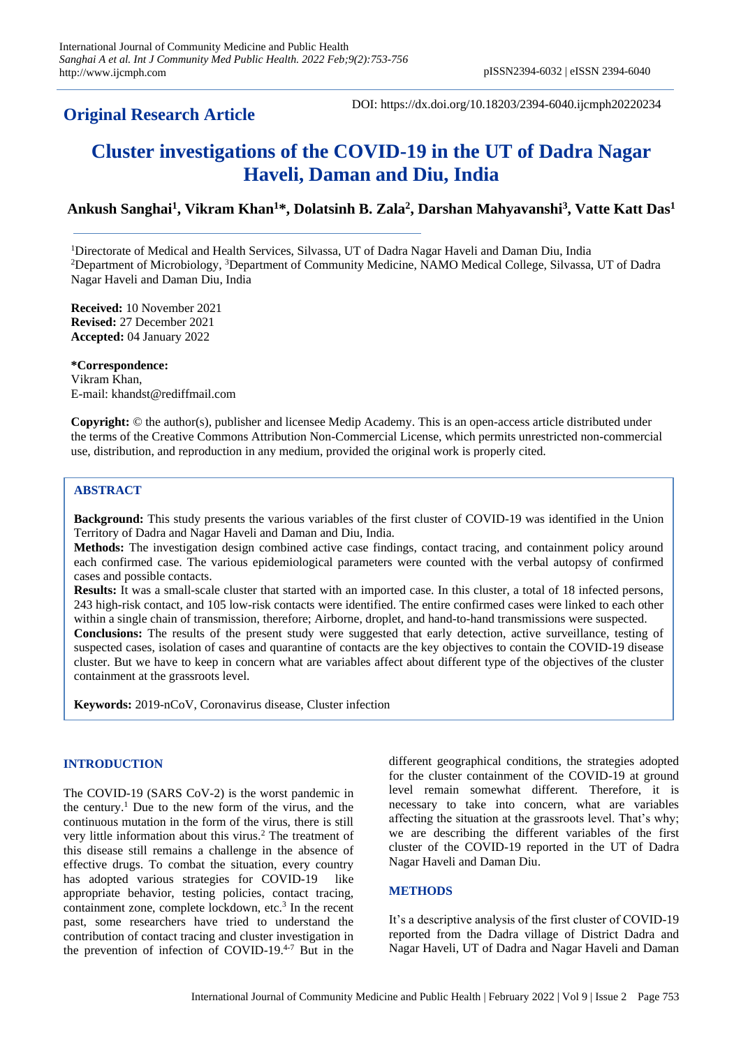## **Original Research Article**

DOI: https://dx.doi.org/10.18203/2394-6040.ijcmph20220234

# **Cluster investigations of the COVID-19 in the UT of Dadra Nagar Haveli, Daman and Diu, India**

### **Ankush Sanghai<sup>1</sup> , Vikram Khan<sup>1</sup>\*, Dolatsinh B. Zala<sup>2</sup> , Darshan Mahyavanshi<sup>3</sup> , Vatte Katt Das<sup>1</sup>**

<sup>1</sup>Directorate of Medical and Health Services, Silvassa, UT of Dadra Nagar Haveli and Daman Diu, India <sup>2</sup>Department of Microbiology, <sup>3</sup>Department of Community Medicine, NAMO Medical College, Silvassa, UT of Dadra Nagar Haveli and Daman Diu, India

**Received:** 10 November 2021 **Revised:** 27 December 2021 **Accepted:** 04 January 2022

**\*Correspondence:** Vikram Khan, E-mail: khandst@rediffmail.com

**Copyright:** © the author(s), publisher and licensee Medip Academy. This is an open-access article distributed under the terms of the Creative Commons Attribution Non-Commercial License, which permits unrestricted non-commercial use, distribution, and reproduction in any medium, provided the original work is properly cited.

#### **ABSTRACT**

**Background:** This study presents the various variables of the first cluster of COVID-19 was identified in the Union Territory of Dadra and Nagar Haveli and Daman and Diu, India.

**Methods:** The investigation design combined active case findings, contact tracing, and containment policy around each confirmed case. The various epidemiological parameters were counted with the verbal autopsy of confirmed cases and possible contacts.

**Results:** It was a small-scale cluster that started with an imported case. In this cluster, a total of 18 infected persons, 243 high-risk contact, and 105 low-risk contacts were identified. The entire confirmed cases were linked to each other within a single chain of transmission, therefore; Airborne, droplet, and hand-to-hand transmissions were suspected. **Conclusions:** The results of the present study were suggested that early detection, active surveillance, testing of suspected cases, isolation of cases and quarantine of contacts are the key objectives to contain the COVID-19 disease cluster. But we have to keep in concern what are variables affect about different type of the objectives of the cluster containment at the grassroots level.

**Keywords:** 2019-nCoV, Coronavirus disease, Cluster infection

#### **INTRODUCTION**

The COVID-19 (SARS CoV-2) is the worst pandemic in the century.<sup>1</sup> Due to the new form of the virus, and the continuous mutation in the form of the virus, there is still very little information about this virus.<sup>2</sup> The treatment of this disease still remains a challenge in the absence of effective drugs. To combat the situation, every country has adopted various strategies for COVID-19 like appropriate behavior, testing policies, contact tracing, containment zone, complete lockdown, etc.<sup>3</sup> In the recent past, some researchers have tried to understand the contribution of contact tracing and cluster investigation in the prevention of infection of COVID-19.4-7 But in the

different geographical conditions, the strategies adopted for the cluster containment of the COVID-19 at ground level remain somewhat different. Therefore, it is necessary to take into concern, what are variables affecting the situation at the grassroots level. That's why; we are describing the different variables of the first cluster of the COVID-19 reported in the UT of Dadra Nagar Haveli and Daman Diu.

#### **METHODS**

It's a descriptive analysis of the first cluster of COVID-19 reported from the Dadra village of District Dadra and Nagar Haveli, UT of Dadra and Nagar Haveli and Daman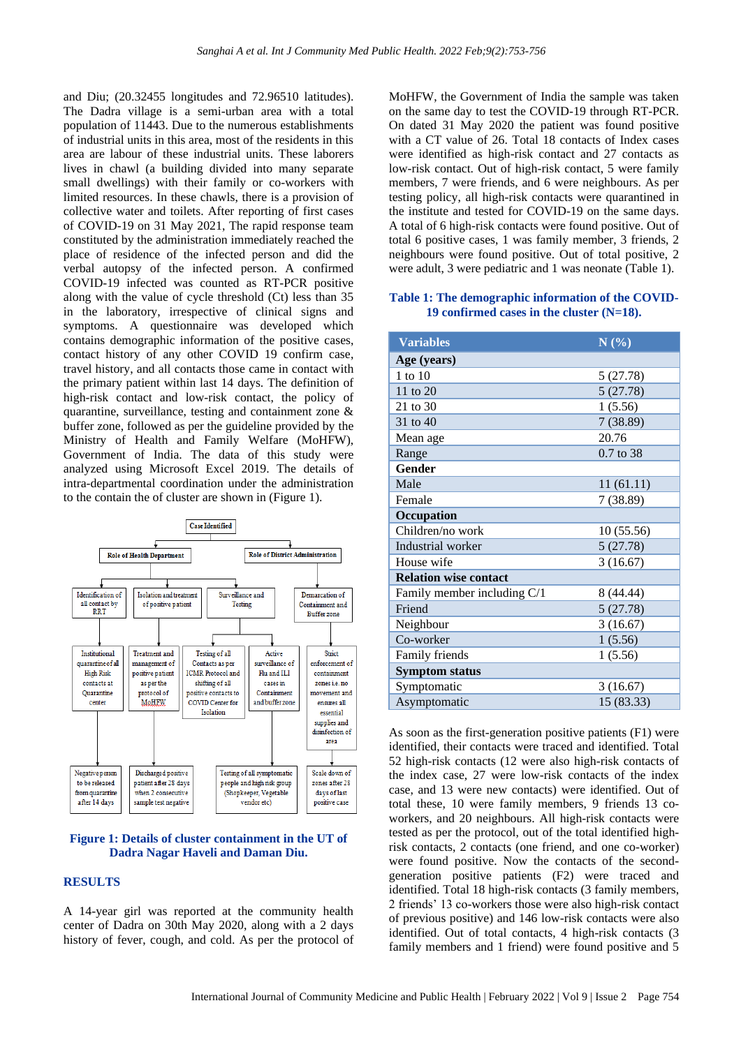and Diu; (20.32455 longitudes and 72.96510 latitudes). The Dadra village is a semi-urban area with a total population of 11443. Due to the numerous establishments of industrial units in this area, most of the residents in this area are labour of these industrial units. These laborers lives in chawl (a building divided into many separate small dwellings) with their family or co-workers with limited resources. In these chawls, there is a provision of collective water and toilets. After reporting of first cases of COVID-19 on 31 May 2021, The rapid response team constituted by the administration immediately reached the place of residence of the infected person and did the verbal autopsy of the infected person. A confirmed COVID-19 infected was counted as RT-PCR positive along with the value of cycle threshold (Ct) less than 35 in the laboratory, irrespective of clinical signs and symptoms. A questionnaire was developed which contains demographic information of the positive cases, contact history of any other COVID 19 confirm case, travel history, and all contacts those came in contact with the primary patient within last 14 days. The definition of high-risk contact and low-risk contact, the policy of quarantine, surveillance, testing and containment zone & buffer zone, followed as per the guideline provided by the Ministry of Health and Family Welfare (MoHFW), Government of India. The data of this study were analyzed using Microsoft Excel 2019. The details of intra-departmental coordination under the administration to the contain the of cluster are shown in (Figure 1).



#### **Figure 1: Details of cluster containment in the UT of Dadra Nagar Haveli and Daman Diu.**

#### **RESULTS**

A 14-year girl was reported at the community health center of Dadra on 30th May 2020, along with a 2 days history of fever, cough, and cold. As per the protocol of

MoHFW, the Government of India the sample was taken on the same day to test the COVID-19 through RT-PCR. On dated 31 May 2020 the patient was found positive with a CT value of 26. Total 18 contacts of Index cases were identified as high-risk contact and 27 contacts as low-risk contact. Out of high-risk contact, 5 were family members, 7 were friends, and 6 were neighbours. As per testing policy, all high-risk contacts were quarantined in the institute and tested for COVID-19 on the same days. A total of 6 high-risk contacts were found positive. Out of total 6 positive cases, 1 was family member, 3 friends, 2 neighbours were found positive. Out of total positive, 2 were adult, 3 were pediatric and 1 was neonate (Table 1).

#### **Table 1: The demographic information of the COVID-19 confirmed cases in the cluster (N=18).**

| <b>Variables</b>             | N(%)       |
|------------------------------|------------|
| Age (years)                  |            |
| 1 to 10                      | 5(27.78)   |
| 11 to $20$                   | 5(27.78)   |
| 21 to 30                     | 1(5.56)    |
| 31 to 40                     | 7(38.89)   |
| Mean age                     | 20.76      |
| Range                        | 0.7 to 38  |
| Gender                       |            |
| Male                         | 11(61.11)  |
| Female                       | 7(38.89)   |
| Occupation                   |            |
| Children/no work             | 10 (55.56) |
| Industrial worker            | 5(27.78)   |
| House wife                   | 3(16.67)   |
| <b>Relation wise contact</b> |            |
| Family member including C/1  | 8 (44.44)  |
| Friend                       | 5(27.78)   |
| Neighbour                    | 3(16.67)   |
| Co-worker                    | 1(5.56)    |
| Family friends               | 1(5.56)    |
| <b>Symptom status</b>        |            |
| Symptomatic                  | 3(16.67)   |
| Asymptomatic                 | 15 (83.33) |

As soon as the first-generation positive patients (F1) were identified, their contacts were traced and identified. Total 52 high-risk contacts (12 were also high-risk contacts of the index case, 27 were low-risk contacts of the index case, and 13 were new contacts) were identified. Out of total these, 10 were family members, 9 friends 13 coworkers, and 20 neighbours. All high-risk contacts were tested as per the protocol, out of the total identified highrisk contacts, 2 contacts (one friend, and one co-worker) were found positive. Now the contacts of the secondgeneration positive patients (F2) were traced and identified. Total 18 high-risk contacts (3 family members, 2 friends' 13 co-workers those were also high-risk contact of previous positive) and 146 low-risk contacts were also identified. Out of total contacts, 4 high-risk contacts (3 family members and 1 friend) were found positive and 5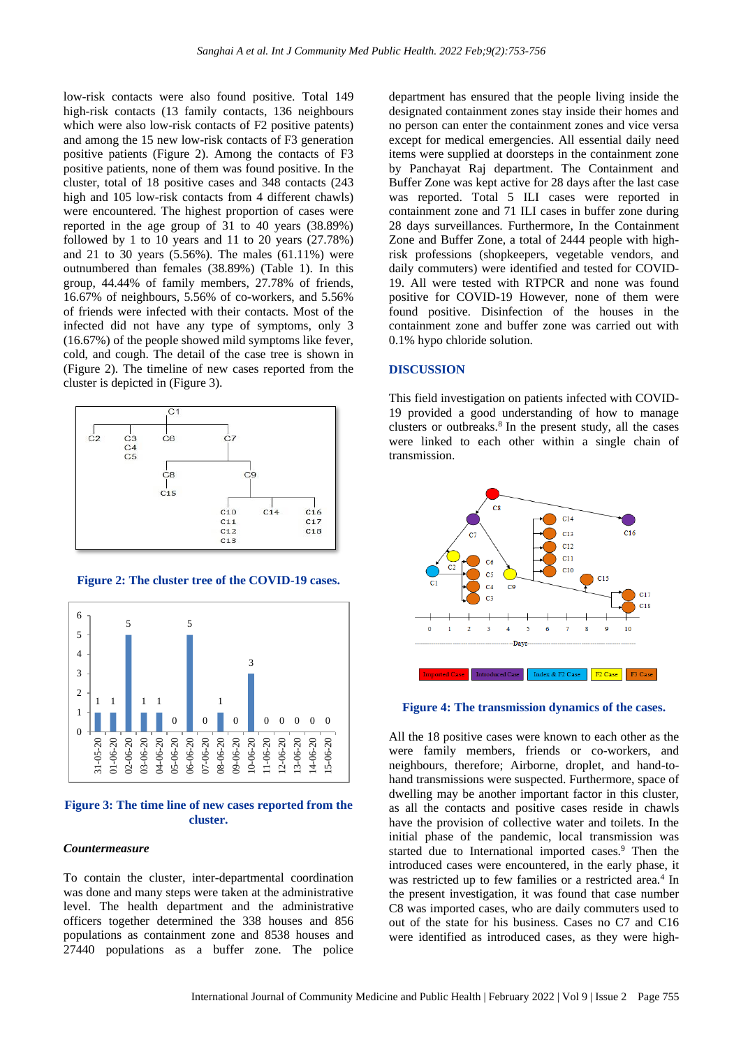low-risk contacts were also found positive. Total 149 high-risk contacts (13 family contacts, 136 neighbours which were also low-risk contacts of F2 positive patents) and among the 15 new low-risk contacts of F3 generation positive patients (Figure 2). Among the contacts of F3 positive patients, none of them was found positive. In the cluster, total of 18 positive cases and 348 contacts (243 high and 105 low-risk contacts from 4 different chawls) were encountered. The highest proportion of cases were reported in the age group of 31 to 40 years (38.89%) followed by 1 to 10 years and 11 to 20 years (27.78%) and 21 to 30 years (5.56%). The males (61.11%) were outnumbered than females (38.89%) (Table 1). In this group, 44.44% of family members, 27.78% of friends, 16.67% of neighbours, 5.56% of co-workers, and 5.56% of friends were infected with their contacts. Most of the infected did not have any type of symptoms, only 3 (16.67%) of the people showed mild symptoms like fever, cold, and cough. The detail of the case tree is shown in (Figure 2). The timeline of new cases reported from the cluster is depicted in (Figure 3).



**Figure 2: The cluster tree of the COVID-19 cases.** 



**Figure 3: The time line of new cases reported from the cluster.**

#### *Countermeasure*

To contain the cluster, inter-departmental coordination was done and many steps were taken at the administrative level. The health department and the administrative officers together determined the 338 houses and 856 populations as containment zone and 8538 houses and 27440 populations as a buffer zone. The police

department has ensured that the people living inside the designated containment zones stay inside their homes and no person can enter the containment zones and vice versa except for medical emergencies. All essential daily need items were supplied at doorsteps in the containment zone by Panchayat Raj department. The Containment and Buffer Zone was kept active for 28 days after the last case was reported. Total 5 ILI cases were reported in containment zone and 71 ILI cases in buffer zone during 28 days surveillances. Furthermore, In the Containment Zone and Buffer Zone, a total of 2444 people with highrisk professions (shopkeepers, vegetable vendors, and daily commuters) were identified and tested for COVID-19. All were tested with RTPCR and none was found positive for COVID-19 However, none of them were found positive. Disinfection of the houses in the containment zone and buffer zone was carried out with 0.1% hypo chloride solution.

#### **DISCUSSION**

This field investigation on patients infected with COVID-19 provided a good understanding of how to manage clusters or outbreaks.<sup>8</sup> In the present study, all the cases were linked to each other within a single chain of transmission.





All the 18 positive cases were known to each other as the were family members, friends or co-workers, and neighbours, therefore; Airborne, droplet, and hand-tohand transmissions were suspected. Furthermore, space of dwelling may be another important factor in this cluster, as all the contacts and positive cases reside in chawls have the provision of collective water and toilets. In the initial phase of the pandemic, local transmission was started due to International imported cases.<sup>9</sup> Then the introduced cases were encountered, in the early phase, it was restricted up to few families or a restricted area.<sup>4</sup> In the present investigation, it was found that case number C8 was imported cases, who are daily commuters used to out of the state for his business. Cases no C7 and C16 were identified as introduced cases, as they were high